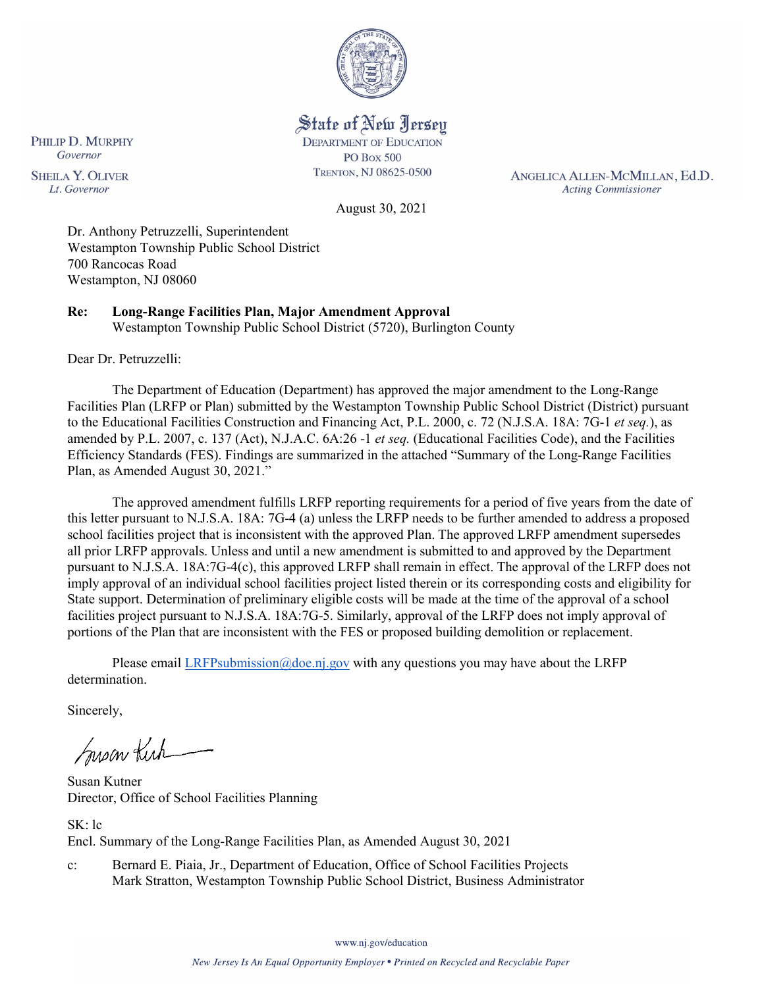

State of New Jersey **DEPARTMENT OF EDUCATION PO Box 500** 

TRENTON, NJ 08625-0500

ANGELICA ALLEN-MCMILLAN, Ed.D. **Acting Commissioner** 

August 30, 2021

Dr. Anthony Petruzzelli, Superintendent Westampton Township Public School District 700 Rancocas Road Westampton, NJ 08060

**Re: Long-Range Facilities Plan, Major Amendment Approval**  Westampton Township Public School District (5720), Burlington County

Dear Dr. Petruzzelli:

The Department of Education (Department) has approved the major amendment to the Long-Range Facilities Plan (LRFP or Plan) submitted by the Westampton Township Public School District (District) pursuant to the Educational Facilities Construction and Financing Act, P.L. 2000, c. 72 (N.J.S.A. 18A: 7G-1 *et seq.*), as amended by P.L. 2007, c. 137 (Act), N.J.A.C. 6A:26 -1 *et seq.* (Educational Facilities Code), and the Facilities Efficiency Standards (FES). Findings are summarized in the attached "Summary of the Long-Range Facilities Plan, as Amended August 30, 2021."

The approved amendment fulfills LRFP reporting requirements for a period of five years from the date of this letter pursuant to N.J.S.A. 18A: 7G-4 (a) unless the LRFP needs to be further amended to address a proposed school facilities project that is inconsistent with the approved Plan. The approved LRFP amendment supersedes all prior LRFP approvals. Unless and until a new amendment is submitted to and approved by the Department pursuant to N.J.S.A. 18A:7G-4(c), this approved LRFP shall remain in effect. The approval of the LRFP does not imply approval of an individual school facilities project listed therein or its corresponding costs and eligibility for State support. Determination of preliminary eligible costs will be made at the time of the approval of a school facilities project pursuant to N.J.S.A. 18A:7G-5. Similarly, approval of the LRFP does not imply approval of portions of the Plan that are inconsistent with the FES or proposed building demolition or replacement.

Please email [LRFPsubmission@doe.nj.gov](mailto:LRFPsubmission@doe.nj.gov) with any questions you may have about the LRFP determination.

Sincerely,

Susan Kich

Susan Kutner Director, Office of School Facilities Planning

SK: lc Encl. Summary of the Long-Range Facilities Plan, as Amended August 30, 2021

c: Bernard E. Piaia, Jr., Department of Education, Office of School Facilities Projects Mark Stratton, Westampton Township Public School District, Business Administrator

www.nj.gov/education

PHILIP D. MURPHY Governor **SHEILA Y. OLIVER** Lt. Governor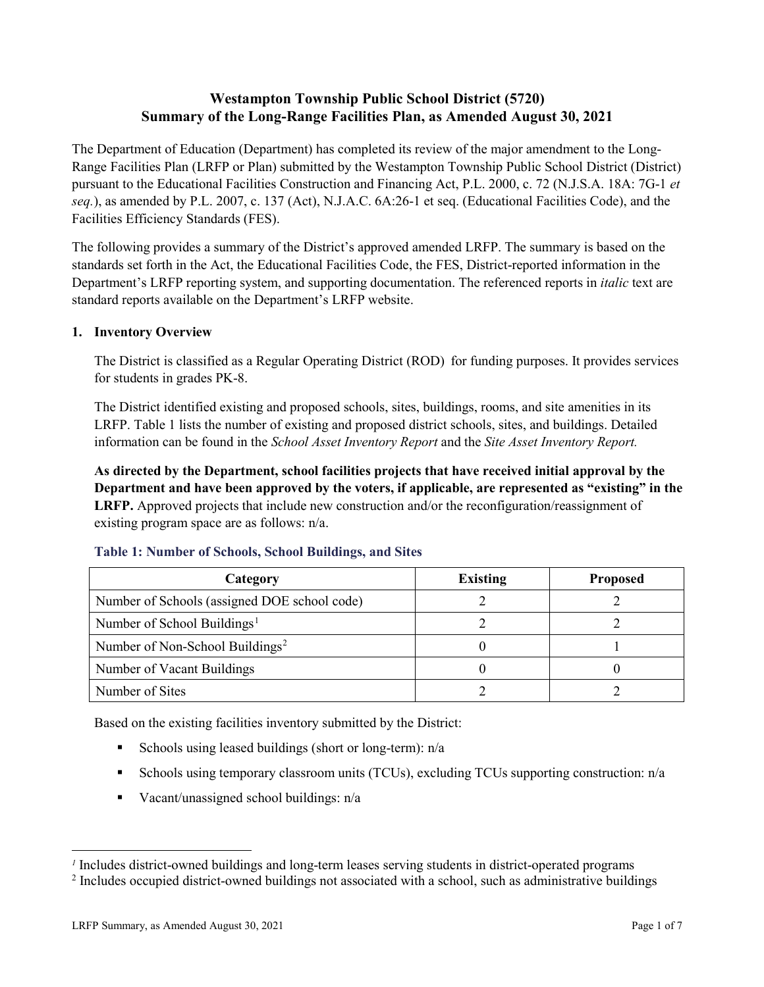# **Westampton Township Public School District (5720) Summary of the Long-Range Facilities Plan, as Amended August 30, 2021**

The Department of Education (Department) has completed its review of the major amendment to the Long-Range Facilities Plan (LRFP or Plan) submitted by the Westampton Township Public School District (District) pursuant to the Educational Facilities Construction and Financing Act, P.L. 2000, c. 72 (N.J.S.A. 18A: 7G-1 *et seq.*), as amended by P.L. 2007, c. 137 (Act), N.J.A.C. 6A:26-1 et seq. (Educational Facilities Code), and the Facilities Efficiency Standards (FES).

The following provides a summary of the District's approved amended LRFP. The summary is based on the standards set forth in the Act, the Educational Facilities Code, the FES, District-reported information in the Department's LRFP reporting system, and supporting documentation. The referenced reports in *italic* text are standard reports available on the Department's LRFP website.

### **1. Inventory Overview**

The District is classified as a Regular Operating District (ROD) for funding purposes. It provides services for students in grades PK-8.

The District identified existing and proposed schools, sites, buildings, rooms, and site amenities in its LRFP. Table 1 lists the number of existing and proposed district schools, sites, and buildings. Detailed information can be found in the *School Asset Inventory Report* and the *Site Asset Inventory Report.*

**As directed by the Department, school facilities projects that have received initial approval by the Department and have been approved by the voters, if applicable, are represented as "existing" in the LRFP.** Approved projects that include new construction and/or the reconfiguration/reassignment of existing program space are as follows: n/a.

| Category                                     | <b>Existing</b> | <b>Proposed</b> |
|----------------------------------------------|-----------------|-----------------|
| Number of Schools (assigned DOE school code) |                 |                 |
| Number of School Buildings <sup>1</sup>      |                 |                 |
| Number of Non-School Buildings <sup>2</sup>  |                 |                 |
| Number of Vacant Buildings                   |                 |                 |
| Number of Sites                              |                 |                 |

#### **Table 1: Number of Schools, School Buildings, and Sites**

Based on the existing facilities inventory submitted by the District:

- Schools using leased buildings (short or long-term):  $n/a$
- Schools using temporary classroom units (TCUs), excluding TCUs supporting construction: n/a
- Vacant/unassigned school buildings:  $n/a$

 $\overline{a}$ 

<span id="page-1-1"></span><span id="page-1-0"></span>*<sup>1</sup>* Includes district-owned buildings and long-term leases serving students in district-operated programs

<sup>&</sup>lt;sup>2</sup> Includes occupied district-owned buildings not associated with a school, such as administrative buildings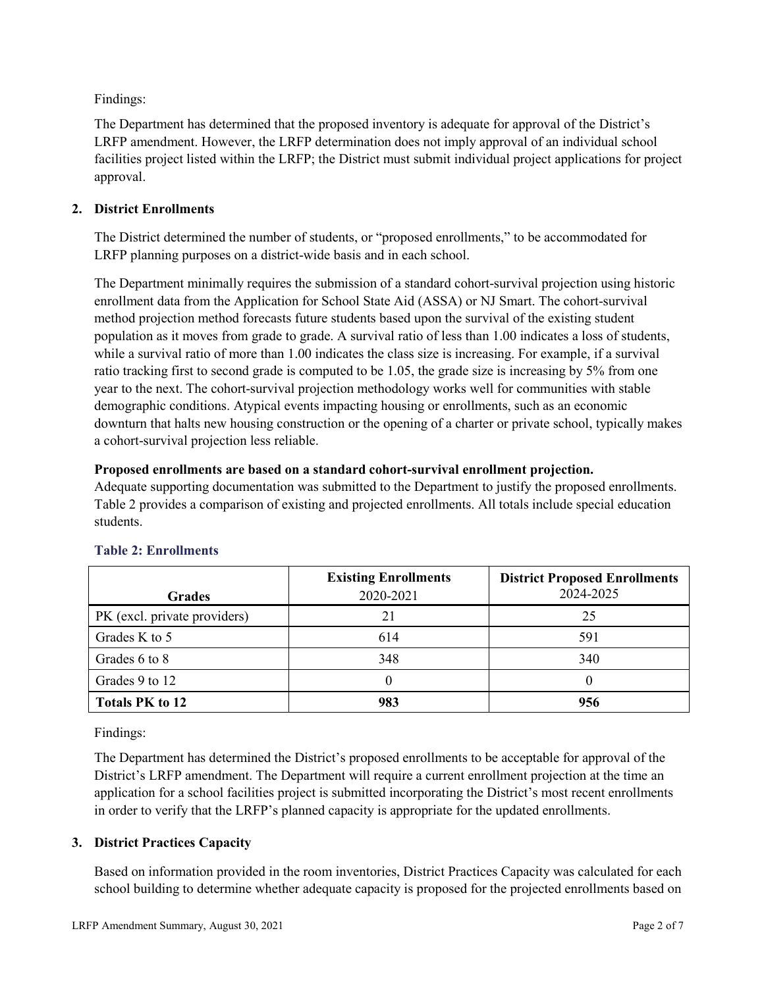Findings:

The Department has determined that the proposed inventory is adequate for approval of the District's LRFP amendment. However, the LRFP determination does not imply approval of an individual school facilities project listed within the LRFP; the District must submit individual project applications for project approval.

# **2. District Enrollments**

The District determined the number of students, or "proposed enrollments," to be accommodated for LRFP planning purposes on a district-wide basis and in each school.

The Department minimally requires the submission of a standard cohort-survival projection using historic enrollment data from the Application for School State Aid (ASSA) or NJ Smart. The cohort-survival method projection method forecasts future students based upon the survival of the existing student population as it moves from grade to grade. A survival ratio of less than 1.00 indicates a loss of students, while a survival ratio of more than 1.00 indicates the class size is increasing. For example, if a survival ratio tracking first to second grade is computed to be 1.05, the grade size is increasing by 5% from one year to the next. The cohort-survival projection methodology works well for communities with stable demographic conditions. Atypical events impacting housing or enrollments, such as an economic downturn that halts new housing construction or the opening of a charter or private school, typically makes a cohort-survival projection less reliable.

# **Proposed enrollments are based on a standard cohort-survival enrollment projection.**

Adequate supporting documentation was submitted to the Department to justify the proposed enrollments. Table 2 provides a comparison of existing and projected enrollments. All totals include special education students.

|                              | <b>Existing Enrollments</b> | <b>District Proposed Enrollments</b> |
|------------------------------|-----------------------------|--------------------------------------|
| <b>Grades</b>                | 2020-2021                   | 2024-2025                            |
| PK (excl. private providers) |                             | 25                                   |
| Grades K to 5                | 614                         | 591                                  |
| Grades 6 to 8                | 348                         | 340                                  |
| Grades 9 to 12               |                             |                                      |
| <b>Totals PK to 12</b>       | 983                         | 956                                  |

# **Table 2: Enrollments**

Findings:

The Department has determined the District's proposed enrollments to be acceptable for approval of the District's LRFP amendment. The Department will require a current enrollment projection at the time an application for a school facilities project is submitted incorporating the District's most recent enrollments in order to verify that the LRFP's planned capacity is appropriate for the updated enrollments.

# **3. District Practices Capacity**

Based on information provided in the room inventories, District Practices Capacity was calculated for each school building to determine whether adequate capacity is proposed for the projected enrollments based on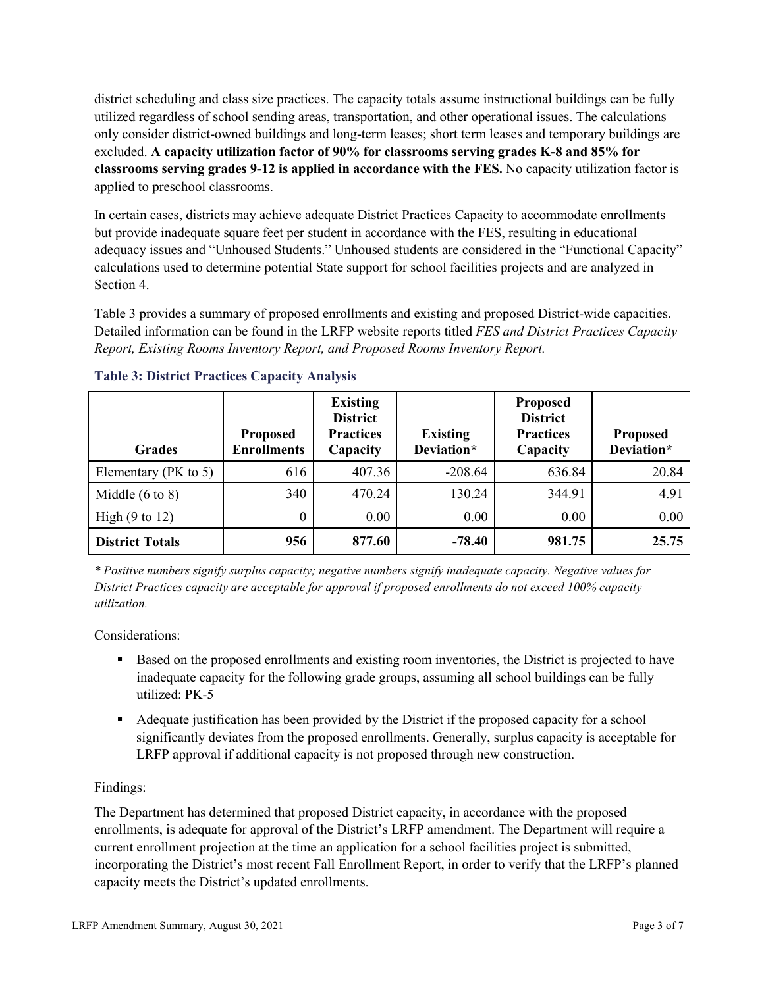district scheduling and class size practices. The capacity totals assume instructional buildings can be fully utilized regardless of school sending areas, transportation, and other operational issues. The calculations only consider district-owned buildings and long-term leases; short term leases and temporary buildings are excluded. **A capacity utilization factor of 90% for classrooms serving grades K-8 and 85% for classrooms serving grades 9-12 is applied in accordance with the FES.** No capacity utilization factor is applied to preschool classrooms.

In certain cases, districts may achieve adequate District Practices Capacity to accommodate enrollments but provide inadequate square feet per student in accordance with the FES, resulting in educational adequacy issues and "Unhoused Students." Unhoused students are considered in the "Functional Capacity" calculations used to determine potential State support for school facilities projects and are analyzed in Section 4.

Table 3 provides a summary of proposed enrollments and existing and proposed District-wide capacities. Detailed information can be found in the LRFP website reports titled *FES and District Practices Capacity Report, Existing Rooms Inventory Report, and Proposed Rooms Inventory Report.*

| <b>Grades</b>              | <b>Proposed</b><br><b>Enrollments</b> | <b>Existing</b><br><b>District</b><br><b>Practices</b><br>Capacity | <b>Existing</b><br>Deviation* | <b>Proposed</b><br><b>District</b><br><b>Practices</b><br>Capacity | <b>Proposed</b><br>Deviation* |
|----------------------------|---------------------------------------|--------------------------------------------------------------------|-------------------------------|--------------------------------------------------------------------|-------------------------------|
| Elementary ( $PK$ to 5)    | 616                                   | 407.36                                                             | $-208.64$                     | 636.84                                                             | 20.84                         |
| Middle $(6 \text{ to } 8)$ | 340                                   | 470.24                                                             | 130.24                        | 344.91                                                             | 4.91                          |
| High $(9 \text{ to } 12)$  | 0                                     | 0.00                                                               | 0.00                          | 0.00                                                               | 0.00                          |
| <b>District Totals</b>     | 956                                   | 877.60                                                             | $-78.40$                      | 981.75                                                             | 25.75                         |

# **Table 3: District Practices Capacity Analysis**

*\* Positive numbers signify surplus capacity; negative numbers signify inadequate capacity. Negative values for District Practices capacity are acceptable for approval if proposed enrollments do not exceed 100% capacity utilization.*

Considerations:

- Based on the proposed enrollments and existing room inventories, the District is projected to have inadequate capacity for the following grade groups, assuming all school buildings can be fully utilized: PK-5
- Adequate justification has been provided by the District if the proposed capacity for a school significantly deviates from the proposed enrollments. Generally, surplus capacity is acceptable for LRFP approval if additional capacity is not proposed through new construction.

# Findings:

The Department has determined that proposed District capacity, in accordance with the proposed enrollments, is adequate for approval of the District's LRFP amendment. The Department will require a current enrollment projection at the time an application for a school facilities project is submitted, incorporating the District's most recent Fall Enrollment Report, in order to verify that the LRFP's planned capacity meets the District's updated enrollments.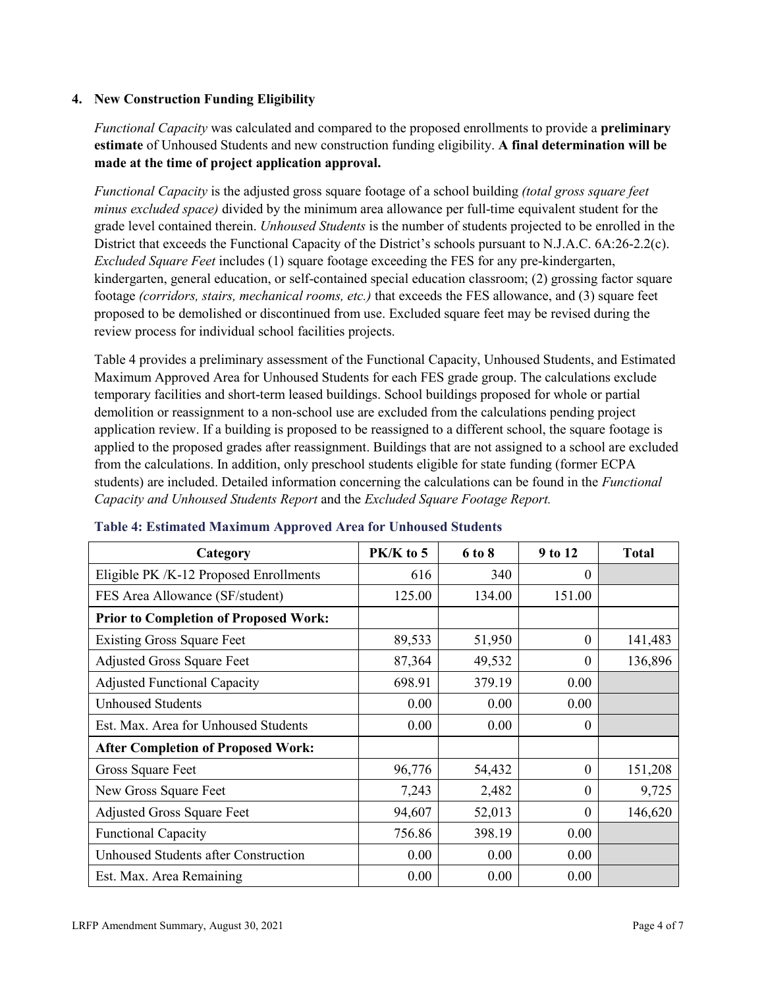## **4. New Construction Funding Eligibility**

*Functional Capacity* was calculated and compared to the proposed enrollments to provide a **preliminary estimate** of Unhoused Students and new construction funding eligibility. **A final determination will be made at the time of project application approval.**

*Functional Capacity* is the adjusted gross square footage of a school building *(total gross square feet minus excluded space)* divided by the minimum area allowance per full-time equivalent student for the grade level contained therein. *Unhoused Students* is the number of students projected to be enrolled in the District that exceeds the Functional Capacity of the District's schools pursuant to N.J.A.C. 6A:26-2.2(c). *Excluded Square Feet* includes (1) square footage exceeding the FES for any pre-kindergarten, kindergarten, general education, or self-contained special education classroom; (2) grossing factor square footage *(corridors, stairs, mechanical rooms, etc.)* that exceeds the FES allowance, and (3) square feet proposed to be demolished or discontinued from use. Excluded square feet may be revised during the review process for individual school facilities projects.

Table 4 provides a preliminary assessment of the Functional Capacity, Unhoused Students, and Estimated Maximum Approved Area for Unhoused Students for each FES grade group. The calculations exclude temporary facilities and short-term leased buildings. School buildings proposed for whole or partial demolition or reassignment to a non-school use are excluded from the calculations pending project application review. If a building is proposed to be reassigned to a different school, the square footage is applied to the proposed grades after reassignment. Buildings that are not assigned to a school are excluded from the calculations. In addition, only preschool students eligible for state funding (former ECPA students) are included. Detailed information concerning the calculations can be found in the *Functional Capacity and Unhoused Students Report* and the *Excluded Square Footage Report.*

| Category                                     | PK/K to 5 | 6 to 8 | 9 to 12  | <b>Total</b> |
|----------------------------------------------|-----------|--------|----------|--------------|
| Eligible PK /K-12 Proposed Enrollments       | 616       | 340    | 0        |              |
| FES Area Allowance (SF/student)              | 125.00    | 134.00 | 151.00   |              |
| <b>Prior to Completion of Proposed Work:</b> |           |        |          |              |
| <b>Existing Gross Square Feet</b>            | 89,533    | 51,950 | $\theta$ | 141,483      |
| <b>Adjusted Gross Square Feet</b>            | 87,364    | 49,532 | $\theta$ | 136,896      |
| <b>Adjusted Functional Capacity</b>          | 698.91    | 379.19 | 0.00     |              |
| <b>Unhoused Students</b>                     | 0.00      | 0.00   | 0.00     |              |
| Est. Max. Area for Unhoused Students         | 0.00      | 0.00   | $\theta$ |              |
| <b>After Completion of Proposed Work:</b>    |           |        |          |              |
| Gross Square Feet                            | 96,776    | 54,432 | $\theta$ | 151,208      |
| New Gross Square Feet                        | 7,243     | 2,482  | $\theta$ | 9,725        |
| <b>Adjusted Gross Square Feet</b>            | 94,607    | 52,013 | $\theta$ | 146,620      |
| <b>Functional Capacity</b>                   | 756.86    | 398.19 | 0.00     |              |
| Unhoused Students after Construction         | 0.00      | 0.00   | 0.00     |              |
| Est. Max. Area Remaining                     | 0.00      | 0.00   | 0.00     |              |

#### **Table 4: Estimated Maximum Approved Area for Unhoused Students**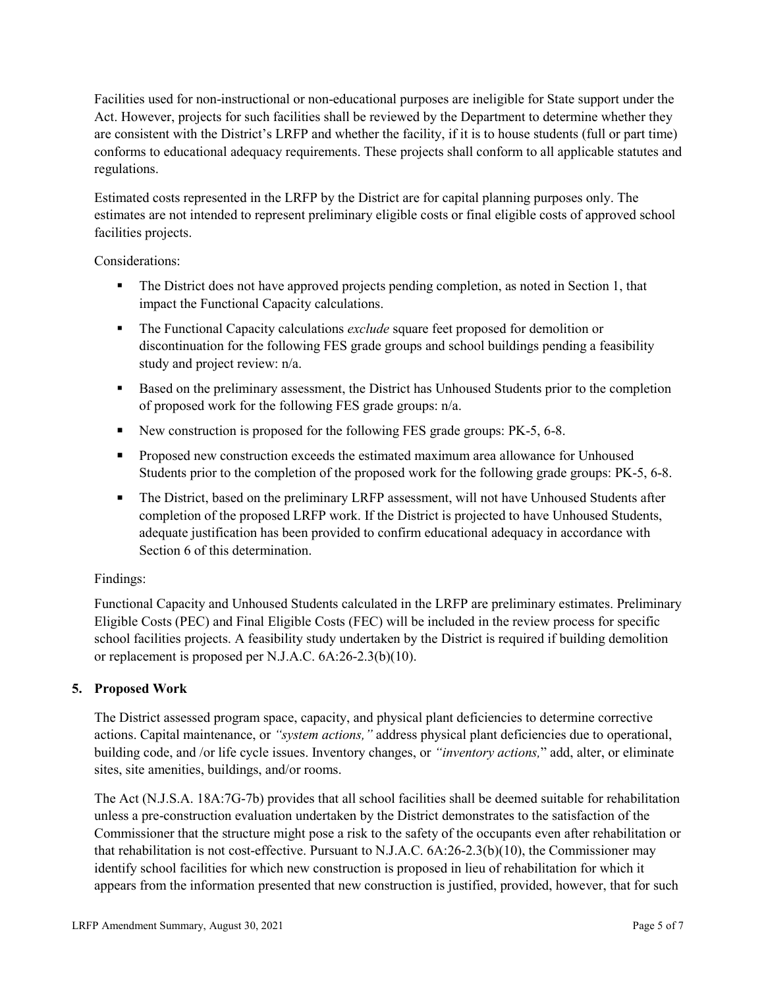Facilities used for non-instructional or non-educational purposes are ineligible for State support under the Act. However, projects for such facilities shall be reviewed by the Department to determine whether they are consistent with the District's LRFP and whether the facility, if it is to house students (full or part time) conforms to educational adequacy requirements. These projects shall conform to all applicable statutes and regulations.

Estimated costs represented in the LRFP by the District are for capital planning purposes only. The estimates are not intended to represent preliminary eligible costs or final eligible costs of approved school facilities projects.

Considerations:

- The District does not have approved projects pending completion, as noted in Section 1, that impact the Functional Capacity calculations.
- **The Functional Capacity calculations** *exclude* square feet proposed for demolition or discontinuation for the following FES grade groups and school buildings pending a feasibility study and project review: n/a.
- Based on the preliminary assessment, the District has Unhoused Students prior to the completion of proposed work for the following FES grade groups: n/a.
- New construction is proposed for the following FES grade groups: PK-5, 6-8.
- Proposed new construction exceeds the estimated maximum area allowance for Unhoused Students prior to the completion of the proposed work for the following grade groups: PK-5, 6-8.
- The District, based on the preliminary LRFP assessment, will not have Unhoused Students after completion of the proposed LRFP work. If the District is projected to have Unhoused Students, adequate justification has been provided to confirm educational adequacy in accordance with Section 6 of this determination.

# Findings:

Functional Capacity and Unhoused Students calculated in the LRFP are preliminary estimates. Preliminary Eligible Costs (PEC) and Final Eligible Costs (FEC) will be included in the review process for specific school facilities projects. A feasibility study undertaken by the District is required if building demolition or replacement is proposed per N.J.A.C. 6A:26-2.3(b)(10).

# **5. Proposed Work**

The District assessed program space, capacity, and physical plant deficiencies to determine corrective actions. Capital maintenance, or *"system actions,"* address physical plant deficiencies due to operational, building code, and /or life cycle issues. Inventory changes, or *"inventory actions,*" add, alter, or eliminate sites, site amenities, buildings, and/or rooms.

The Act (N.J.S.A. 18A:7G-7b) provides that all school facilities shall be deemed suitable for rehabilitation unless a pre-construction evaluation undertaken by the District demonstrates to the satisfaction of the Commissioner that the structure might pose a risk to the safety of the occupants even after rehabilitation or that rehabilitation is not cost-effective. Pursuant to N.J.A.C. 6A:26-2.3(b)(10), the Commissioner may identify school facilities for which new construction is proposed in lieu of rehabilitation for which it appears from the information presented that new construction is justified, provided, however, that for such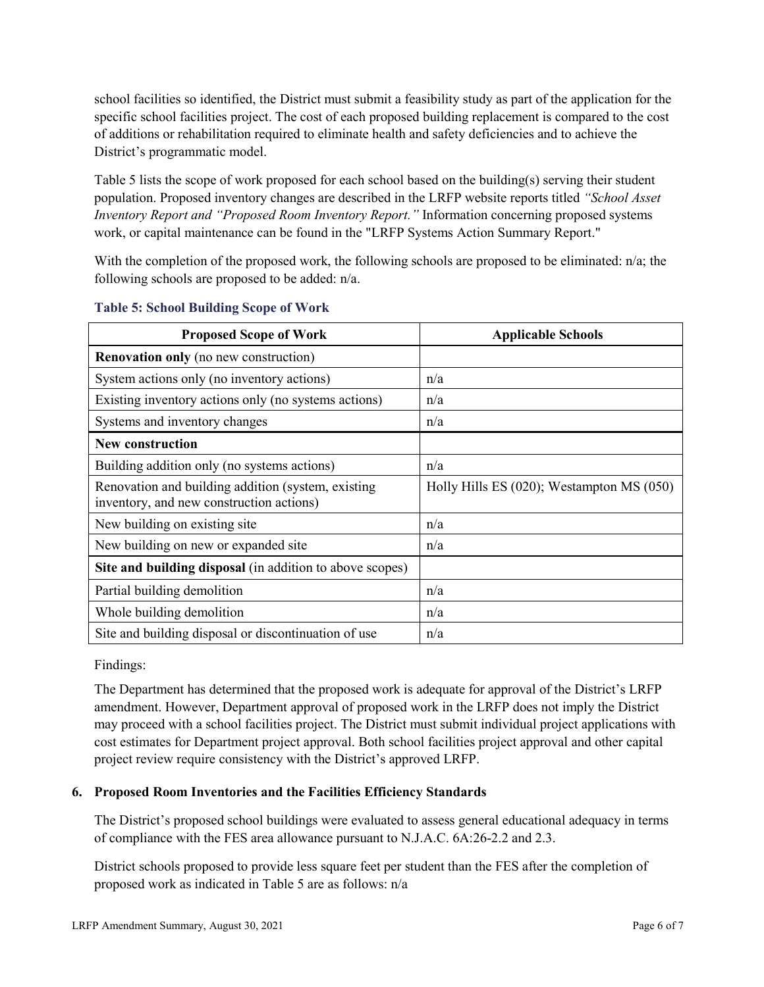school facilities so identified, the District must submit a feasibility study as part of the application for the specific school facilities project. The cost of each proposed building replacement is compared to the cost of additions or rehabilitation required to eliminate health and safety deficiencies and to achieve the District's programmatic model.

Table 5 lists the scope of work proposed for each school based on the building(s) serving their student population. Proposed inventory changes are described in the LRFP website reports titled *"School Asset Inventory Report and "Proposed Room Inventory Report."* Information concerning proposed systems work, or capital maintenance can be found in the "LRFP Systems Action Summary Report."

With the completion of the proposed work, the following schools are proposed to be eliminated: n/a; the following schools are proposed to be added: n/a.

| <b>Proposed Scope of Work</b>                                                                  | <b>Applicable Schools</b>                      |
|------------------------------------------------------------------------------------------------|------------------------------------------------|
| <b>Renovation only</b> (no new construction)                                                   |                                                |
| System actions only (no inventory actions)                                                     | n/a                                            |
| Existing inventory actions only (no systems actions)                                           | n/a                                            |
| Systems and inventory changes                                                                  | n/a                                            |
| <b>New construction</b>                                                                        |                                                |
| Building addition only (no systems actions)                                                    | n/a                                            |
| Renovation and building addition (system, existing<br>inventory, and new construction actions) | Holly Hills ES $(020)$ ; Westampton MS $(050)$ |
| New building on existing site                                                                  | n/a                                            |
| New building on new or expanded site                                                           | n/a                                            |
| Site and building disposal (in addition to above scopes)                                       |                                                |
| Partial building demolition                                                                    | n/a                                            |
| Whole building demolition                                                                      | n/a                                            |
| Site and building disposal or discontinuation of use                                           | n/a                                            |

### **Table 5: School Building Scope of Work**

Findings:

The Department has determined that the proposed work is adequate for approval of the District's LRFP amendment. However, Department approval of proposed work in the LRFP does not imply the District may proceed with a school facilities project. The District must submit individual project applications with cost estimates for Department project approval. Both school facilities project approval and other capital project review require consistency with the District's approved LRFP.

# **6. Proposed Room Inventories and the Facilities Efficiency Standards**

The District's proposed school buildings were evaluated to assess general educational adequacy in terms of compliance with the FES area allowance pursuant to N.J.A.C. 6A:26-2.2 and 2.3.

District schools proposed to provide less square feet per student than the FES after the completion of proposed work as indicated in Table 5 are as follows: n/a